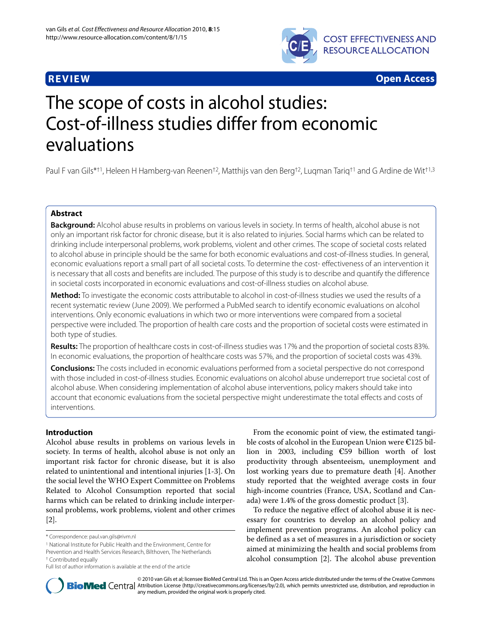

**REVIEW Open Access**

# The scope of costs in alcohol studies: Cost-of-illness studies differ from economic evaluations

Paul F van Gils\*†1, Heleen H Hamberg-van Reenen†2, Matthijs van den Berg†2, Luqman Tariq†1 and G Ardine de Wit†1,3

# **Abstract**

**Background:** Alcohol abuse results in problems on various levels in society. In terms of health, alcohol abuse is not only an important risk factor for chronic disease, but it is also related to injuries. Social harms which can be related to drinking include interpersonal problems, work problems, violent and other crimes. The scope of societal costs related to alcohol abuse in principle should be the same for both economic evaluations and cost-of-illness studies. In general, economic evaluations report a small part of all societal costs. To determine the cost- effectiveness of an intervention it is necessary that all costs and benefits are included. The purpose of this study is to describe and quantify the difference in societal costs incorporated in economic evaluations and cost-of-illness studies on alcohol abuse.

**Method:** To investigate the economic costs attributable to alcohol in cost-of-illness studies we used the results of a recent systematic review (June 2009). We performed a PubMed search to identify economic evaluations on alcohol interventions. Only economic evaluations in which two or more interventions were compared from a societal perspective were included. The proportion of health care costs and the proportion of societal costs were estimated in both type of studies.

**Results:** The proportion of healthcare costs in cost-of-illness studies was 17% and the proportion of societal costs 83%. In economic evaluations, the proportion of healthcare costs was 57%, and the proportion of societal costs was 43%.

**Conclusions:** The costs included in economic evaluations performed from a societal perspective do not correspond with those included in cost-of-illness studies. Economic evaluations on alcohol abuse underreport true societal cost of alcohol abuse. When considering implementation of alcohol abuse interventions, policy makers should take into account that economic evaluations from the societal perspective might underestimate the total effects and costs of interventions.

# **Introduction**

Alcohol abuse results in problems on various levels in society. In terms of health, alcohol abuse is not only an important risk factor for chronic disease, but it is also related to unintentional and intentional injuries [\[1](#page-5-0)-[3\]](#page-5-1). On the social level the WHO Expert Committee on Problems Related to Alcohol Consumption reported that social harms which can be related to drinking include interpersonal problems, work problems, violent and other crimes [[2\]](#page-5-2).

From the economic point of view, the estimated tangible costs of alcohol in the European Union were €125 billion in 2003, including €59 billion worth of lost productivity through absenteeism, unemployment and lost working years due to premature death [\[4](#page-5-3)]. Another study reported that the weighted average costs in four high-income countries (France, USA, Scotland and Canada) were 1.4% of the gross domestic product [[3](#page-5-1)].

To reduce the negative effect of alcohol abuse it is necessary for countries to develop an alcohol policy and implement prevention programs. An alcohol policy can be defined as a set of measures in a jurisdiction or society aimed at minimizing the health and social problems from alcohol consumption [\[2](#page-5-2)]. The alcohol abuse prevention



© 2010 van Gils et al; licensee BioMed Central Ltd. This is an Open Access article distributed under the terms of the Creative Commons **BioMed** Central Attribution License (http://creativecommons.org/licenses/by/2.0), which permits unrestricted use, distribution, and reproduction in any medium, provided the original work is properly cited.

<sup>\*</sup> Correspondence: paul.van.gils@rivm.nl

<sup>1</sup> National Institute for Public Health and the Environment, Centre for

Prevention and Health Services Research, Bilthoven, The Netherlands † Contributed equally

Full list of author information is available at the end of the article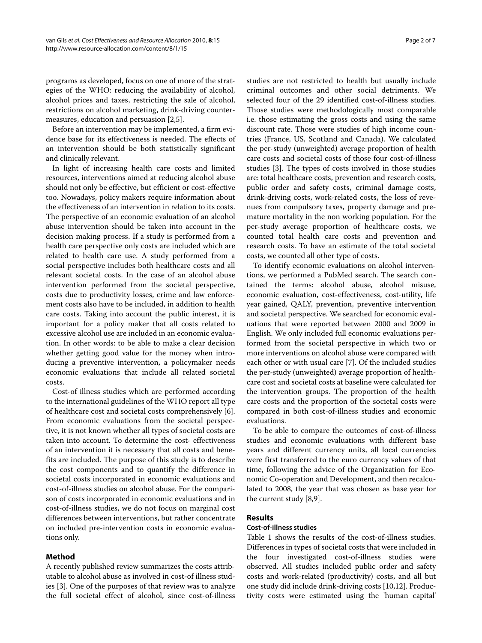programs as developed, focus on one of more of the strategies of the WHO: reducing the availability of alcohol, alcohol prices and taxes, restricting the sale of alcohol, restrictions on alcohol marketing, drink-driving countermeasures, education and persuasion [\[2](#page-5-2)[,5](#page-5-4)].

Before an intervention may be implemented, a firm evidence base for its effectiveness is needed. The effects of an intervention should be both statistically significant and clinically relevant.

In light of increasing health care costs and limited resources, interventions aimed at reducing alcohol abuse should not only be effective, but efficient or cost-effective too. Nowadays, policy makers require information about the effectiveness of an intervention in relation to its costs. The perspective of an economic evaluation of an alcohol abuse intervention should be taken into account in the decision making process. If a study is performed from a health care perspective only costs are included which are related to health care use. A study performed from a social perspective includes both healthcare costs and all relevant societal costs. In the case of an alcohol abuse intervention performed from the societal perspective, costs due to productivity losses, crime and law enforcement costs also have to be included, in addition to health care costs. Taking into account the public interest, it is important for a policy maker that all costs related to excessive alcohol use are included in an economic evaluation. In other words: to be able to make a clear decision whether getting good value for the money when introducing a preventive intervention, a policymaker needs economic evaluations that include all related societal costs.

Cost-of illness studies which are performed according to the international guidelines of the WHO report all type of healthcare cost and societal costs comprehensively [\[6](#page-5-5)]. From economic evaluations from the societal perspective, it is not known whether all types of societal costs are taken into account. To determine the cost- effectiveness of an intervention it is necessary that all costs and benefits are included. The purpose of this study is to describe the cost components and to quantify the difference in societal costs incorporated in economic evaluations and cost-of-illness studies on alcohol abuse. For the comparison of costs incorporated in economic evaluations and in cost-of-illness studies, we do not focus on marginal cost differences between interventions, but rather concentrate on included pre-intervention costs in economic evaluations only.

# **Method**

A recently published review summarizes the costs attributable to alcohol abuse as involved in cost-of illness studies [\[3](#page-5-1)]. One of the purposes of that review was to analyze the full societal effect of alcohol, since cost-of-illness

studies are not restricted to health but usually include criminal outcomes and other social detriments. We selected four of the 29 identified cost-of-illness studies. Those studies were methodologically most comparable i.e. those estimating the gross costs and using the same discount rate. Those were studies of high income countries (France, US, Scotland and Canada). We calculated the per-study (unweighted) average proportion of health care costs and societal costs of those four cost-of-illness studies [\[3\]](#page-5-1). The types of costs involved in those studies are: total healthcare costs, prevention and research costs, public order and safety costs, criminal damage costs, drink-driving costs, work-related costs, the loss of revenues from compulsory taxes, property damage and premature mortality in the non working population. For the per-study average proportion of healthcare costs, we counted total health care costs and prevention and research costs. To have an estimate of the total societal costs, we counted all other type of costs.

To identify economic evaluations on alcohol interventions, we performed a PubMed search. The search contained the terms: alcohol abuse, alcohol misuse, economic evaluation, cost-effectiveness, cost-utility, life year gained, QALY, prevention, preventive intervention and societal perspective. We searched for economic evaluations that were reported between 2000 and 2009 in English. We only included full economic evaluations performed from the societal perspective in which two or more interventions on alcohol abuse were compared with each other or with usual care [\[7](#page-5-6)]. Of the included studies the per-study (unweighted) average proportion of healthcare cost and societal costs at baseline were calculated for the intervention groups. The proportion of the health care costs and the proportion of the societal costs were compared in both cost-of-illness studies and economic evaluations.

To be able to compare the outcomes of cost-of-illness studies and economic evaluations with different base years and different currency units, all local currencies were first transferred to the euro currency values of that time, following the advice of the Organization for Economic Co-operation and Development, and then recalculated to 2008, the year that was chosen as base year for the current study [\[8](#page-5-7)[,9](#page-5-8)].

# **Results**

# **Cost-of-illness studies**

Table 1 shows the results of the cost-of-illness studies. Differences in types of societal costs that were included in the four investigated cost-of-illness studies were observed. All studies included public order and safety costs and work-related (productivity) costs, and all but one study did include drink-driving costs [\[10](#page-5-9)[,12](#page-5-10)]. Productivity costs were estimated using the 'human capital'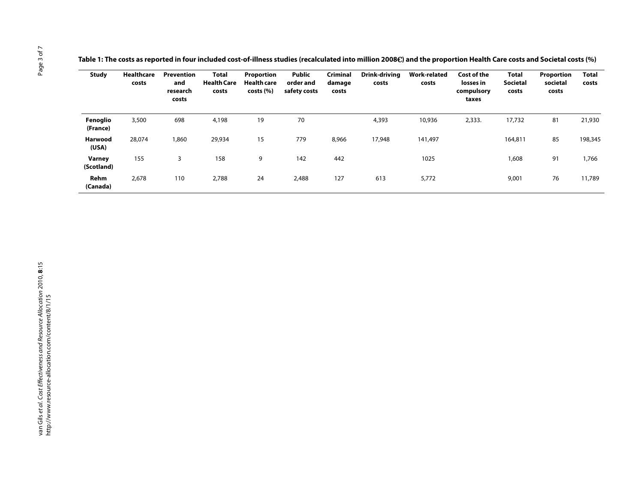**Table 1: The costs as reported in four included cost-of-illness studies (recalculated into million 2008**€**) and the proportion Health Care costs and Societal costs (%)**

| <b>Study</b>            | <b>Healthcare</b><br>costs | Prevention<br>and<br>research<br>costs | Total<br><b>Health Care</b><br>costs | Proportion<br><b>Health care</b><br>costs(%) | Public<br>order and<br>safety costs | Criminal<br>damage<br>costs | Drink-driving<br>costs | <b>Work-related</b><br>costs | Cost of the<br>losses in<br>compulsory<br>taxes | <b>Total</b><br><b>Societal</b><br>costs | Proportion<br>societal<br>costs | <b>Total</b><br>costs |
|-------------------------|----------------------------|----------------------------------------|--------------------------------------|----------------------------------------------|-------------------------------------|-----------------------------|------------------------|------------------------------|-------------------------------------------------|------------------------------------------|---------------------------------|-----------------------|
| Fenoglio<br>(France)    | 3,500                      | 698                                    | 4,198                                | 19                                           | 70                                  |                             | 4,393                  | 10,936                       | 2,333.                                          | 17,732                                   | 81                              | 21,930                |
| <b>Harwood</b><br>(USA) | 28,074                     | 1,860                                  | 29,934                               | 15                                           | 779                                 | 8,966                       | 17,948                 | 141,497                      |                                                 | 164,811                                  | 85                              | 198,345               |
| Varney<br>(Scotland)    | 155                        | 3                                      | 158                                  | 9                                            | 142                                 | 442                         |                        | 1025                         |                                                 | 1,608                                    | 91                              | 1,766                 |
| Rehm<br>(Canada)        | 2,678                      | 110                                    | 2,788                                | 24                                           | 2,488                               | 127                         | 613                    | 5,772                        |                                                 | 9,001                                    | 76                              | 11,789                |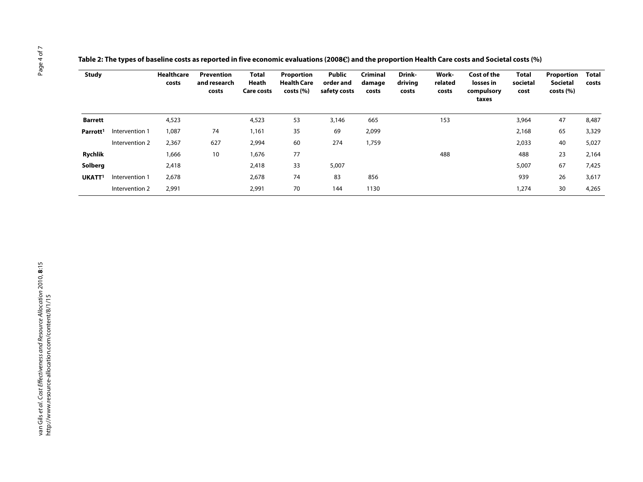| Table 2: The types of baseline costs as reported in five economic evaluations (2008€) and the proportion Health Care costs and Societal costs (%) |  |  |
|---------------------------------------------------------------------------------------------------------------------------------------------------|--|--|
|                                                                                                                                                   |  |  |

| <b>Study</b>         |                | <b>Healthcare</b><br>costs | Prevention<br>and research<br>costs | <b>Total</b><br>Heath<br><b>Care costs</b> | <b>Proportion</b><br><b>Health Care</b><br>costs (%) | <b>Public</b><br>order and<br>safety costs | <b>Criminal</b><br>damage<br>costs | Drink-<br>driving<br>costs | Work-<br>related<br>costs | Cost of the<br>losses in<br>compulsory<br>taxes | Total<br>societal<br>cost | Proportion<br>Societal<br>costs (%) | Total<br>costs |
|----------------------|----------------|----------------------------|-------------------------------------|--------------------------------------------|------------------------------------------------------|--------------------------------------------|------------------------------------|----------------------------|---------------------------|-------------------------------------------------|---------------------------|-------------------------------------|----------------|
| Barrett              |                | 4,523                      |                                     | 4,523                                      | 53                                                   | 3,146                                      | 665                                |                            | 153                       |                                                 | 3,964                     | 47                                  | 8,487          |
| Parrott <sup>1</sup> | Intervention 1 | 1,087                      | 74                                  | 1,161                                      | 35                                                   | 69                                         | 2,099                              |                            |                           |                                                 | 2,168                     | 65                                  | 3,329          |
|                      | Intervention 2 | 2,367                      | 627                                 | 2,994                                      | 60                                                   | 274                                        | 1,759                              |                            |                           |                                                 | 2,033                     | 40                                  | 5,027          |
| <b>Rychlik</b>       |                | 1,666                      | 10                                  | 1,676                                      | 77                                                   |                                            |                                    |                            | 488                       |                                                 | 488                       | 23                                  | 2,164          |
| Solberg              |                | 2,418                      |                                     | 2,418                                      | 33                                                   | 5,007                                      |                                    |                            |                           |                                                 | 5,007                     | 67                                  | 7,425          |
| UKATT <sup>1</sup>   | Intervention 1 | 2,678                      |                                     | 2,678                                      | 74                                                   | 83                                         | 856                                |                            |                           |                                                 | 939                       | 26                                  | 3,617          |
|                      | Intervention 2 | 2,991                      |                                     | 2,991                                      | 70                                                   | 144                                        | 1130                               |                            |                           |                                                 | 1,274                     | 30                                  | 4,265          |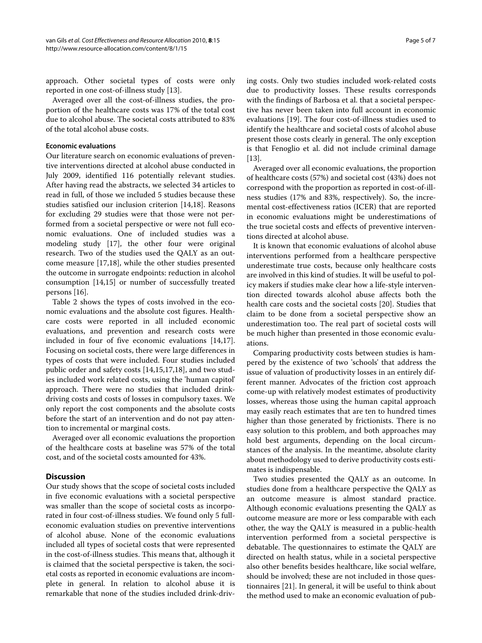approach. Other societal types of costs were only reported in one cost-of-illness study [\[13](#page-5-11)].

Averaged over all the cost-of-illness studies, the proportion of the healthcare costs was 17% of the total cost due to alcohol abuse. The societal costs attributed to 83% of the total alcohol abuse costs.

## **Economic evaluations**

Our literature search on economic evaluations of preventive interventions directed at alcohol abuse conducted in July 2009, identified 116 potentially relevant studies. After having read the abstracts, we selected 34 articles to read in full, of those we included 5 studies because these studies satisfied our inclusion criterion [\[14](#page-5-12)[,18](#page-6-0)]. Reasons for excluding 29 studies were that those were not performed from a societal perspective or were not full economic evaluations. One of included studies was a modeling study [\[17](#page-5-13)], the other four were original research. Two of the studies used the QALY as an outcome measure [[17](#page-5-13),[18\]](#page-6-0), while the other studies presented the outcome in surrogate endpoints: reduction in alcohol consumption [\[14,](#page-5-12)[15\]](#page-5-14) or number of successfully treated persons [\[16\]](#page-5-15).

Table 2 shows the types of costs involved in the economic evaluations and the absolute cost figures. Healthcare costs were reported in all included economic evaluations, and prevention and research costs were included in four of five economic evaluations [\[14](#page-5-12)[,17](#page-5-13)]. Focusing on societal costs, there were large differences in types of costs that were included. Four studies included public order and safety costs [[14](#page-5-12),[15](#page-5-14),[17,](#page-5-13)[18\]](#page-6-0), and two studies included work related costs, using the 'human capitol' approach. There were no studies that included drinkdriving costs and costs of losses in compulsory taxes. We only report the cost components and the absolute costs before the start of an intervention and do not pay attention to incremental or marginal costs.

Averaged over all economic evaluations the proportion of the healthcare costs at baseline was 57% of the total cost, and of the societal costs amounted for 43%.

## **Discussion**

Our study shows that the scope of societal costs included in five economic evaluations with a societal perspective was smaller than the scope of societal costs as incorporated in four cost-of-illness studies. We found only 5 fulleconomic evaluation studies on preventive interventions of alcohol abuse. None of the economic evaluations included all types of societal costs that were represented in the cost-of-illness studies. This means that, although it is claimed that the societal perspective is taken, the societal costs as reported in economic evaluations are incomplete in general. In relation to alcohol abuse it is remarkable that none of the studies included drink-driving costs. Only two studies included work-related costs due to productivity losses. These results corresponds with the findings of Barbosa et al. that a societal perspective has never been taken into full account in economic evaluations [\[19](#page-6-1)]. The four cost-of-illness studies used to identify the healthcare and societal costs of alcohol abuse present those costs clearly in general. The only exception is that Fenoglio et al. did not include criminal damage [[13\]](#page-5-11).

Averaged over all economic evaluations, the proportion of healthcare costs (57%) and societal cost (43%) does not correspond with the proportion as reported in cost-of-illness studies (17% and 83%, respectively). So, the incremental cost-effectiveness ratios (ICER) that are reported in economic evaluations might be underestimations of the true societal costs and effects of preventive interventions directed at alcohol abuse.

It is known that economic evaluations of alcohol abuse interventions performed from a healthcare perspective underestimate true costs, because only healthcare costs are involved in this kind of studies. It will be useful to policy makers if studies make clear how a life-style intervention directed towards alcohol abuse affects both the health care costs and the societal costs [[20](#page-6-2)]. Studies that claim to be done from a societal perspective show an underestimation too. The real part of societal costs will be much higher than presented in those economic evaluations.

Comparing productivity costs between studies is hampered by the existence of two 'schools' that address the issue of valuation of productivity losses in an entirely different manner. Advocates of the friction cost approach come-up with relatively modest estimates of productivity losses, whereas those using the human capital approach may easily reach estimates that are ten to hundred times higher than those generated by frictionists. There is no easy solution to this problem, and both approaches may hold best arguments, depending on the local circumstances of the analysis. In the meantime, absolute clarity about methodology used to derive productivity costs estimates is indispensable.

Two studies presented the QALY as an outcome. In studies done from a healthcare perspective the QALY as an outcome measure is almost standard practice. Although economic evaluations presenting the QALY as outcome measure are more or less comparable with each other, the way the QALY is measured in a public-health intervention performed from a societal perspective is debatable. The questionnaires to estimate the QALY are directed on health status, while in a societal perspective also other benefits besides healthcare, like social welfare, should be involved; these are not included in those questionnaires [\[21](#page-6-3)]. In general, it will be useful to think about the method used to make an economic evaluation of pub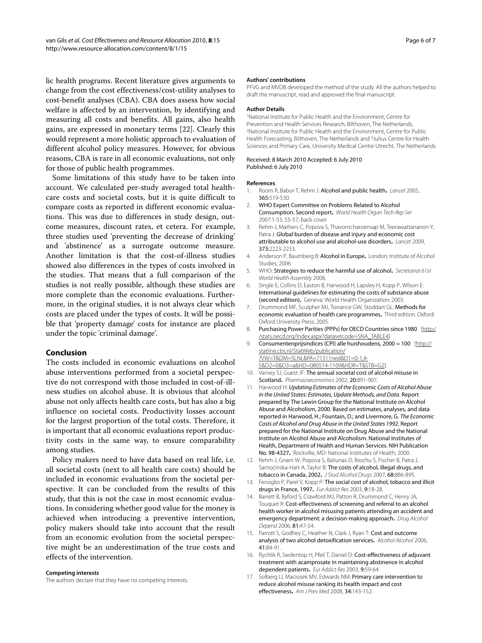lic health programs. Recent literature gives arguments to change from the cost effectiveness/cost-utility analyses to cost-benefit analyses (CBA). CBA does assess how social welfare is affected by an intervention, by identifying and measuring all costs and benefits. All gains, also health gains, are expressed in monetary terms [\[22\]](#page-6-4). Clearly this would represent a more holistic approach to evaluation of different alcohol policy measures. However, for obvious reasons, CBA is rare in all economic evaluations, not only for those of public health programmes.

Some limitations of this study have to be taken into account. We calculated per-study averaged total healthcare costs and societal costs, but it is quite difficult to compare costs as reported in different economic evaluations. This was due to differences in study design, outcome measures, discount rates, et cetera. For example, three studies used 'preventing the decrease of drinking' and 'abstinence' as a surrogate outcome measure. Another limitation is that the cost-of-illness studies showed also differences in the types of costs involved in the studies. That means that a full comparison of the studies is not really possible, although these studies are more complete than the economic evaluations. Furthermore, in the original studies, it is not always clear which costs are placed under the types of costs. It will be possible that 'property damage' costs for instance are placed under the topic 'criminal damage'.

#### **Conclusion**

The costs included in economic evaluations on alcohol abuse interventions performed from a societal perspective do not correspond with those included in cost-of-illness studies on alcohol abuse. It is obvious that alcohol abuse not only affects health care costs, but has also a big influence on societal costs. Productivity losses account for the largest proportion of the total costs. Therefore, it is important that all economic evaluations report productivity costs in the same way, to ensure comparability among studies.

Policy makers need to have data based on real life, i.e. all societal costs (next to all health care costs) should be included in economic evaluations from the societal perspective. It can be concluded from the results of this study, that this is not the case in most economic evaluations. In considering whether good value for the money is achieved when introducing a preventive intervention, policy makers should take into account that the result from an economic evolution from the societal perspective might be an underestimation of the true costs and effects of the intervention.

#### **Competing interests**

The authors declare that they have no competing interests.

#### **Authors' contributions**

PFVG and MVDB developed the method of the study. All the authors helped to draft the manuscript, read and approved the final manuscript.

#### **Author Details**

1National Institute for Public Health and the Environment, Centre for Prevention and Health Services Research, Bilthoven, The Netherlands, 2National Institute for Public Health and the Environment, Centre for Public Health Forecasting, Bilthoven, The Netherlands and 3Julius Centre for Health Sciences and Primary Care, University Medical Centre Utrecht, The Netherlands

#### Received: 8 March 2010 Accepted: 6 July 2010 Published: 6 July 2010

#### **References**

- <span id="page-5-0"></span>1. Room R, Babor T, Rehm J: Alcohol and public health**[.](http://www.ncbi.nlm.nih.gov/entrez/query.fcgi?cmd=Retrieve&db=PubMed&dopt=Abstract&list_uids=15705462)** Lancet 2005, 365:519-530.
- <span id="page-5-2"></span>2. WHO Expert Committee on Problems Related to Alcohol Consumption. Second report**.** World Health Organ Tech Rep Ser 2007:1-53. 55-57, back cover
- <span id="page-5-1"></span>3. Rehm J, Mathers C, Popova S, Thavorncharoensap M, Teerawattananon Y, Patra J: Global burden of disease and injury and economic cost attributable to alcohol use and alcohol-use disorders**[.](http://www.ncbi.nlm.nih.gov/entrez/query.fcgi?cmd=Retrieve&db=PubMed&dopt=Abstract&list_uids=19560604)** Lancet 2009, 373:2223-2233.
- <span id="page-5-3"></span>4. Anderson P, Baumberg B: Alcohol in Europe**.** London: Institute of Alcohol Studies; 2006.
- <span id="page-5-4"></span>5. WHO: Strategies to reduce the harmful use of alcohol**.** Secretariat 61st World Health Assembly 2008.
- <span id="page-5-5"></span>6. Single E, Collins D, Easton B, Harwood H, Lapsley H, Kopp P, Wilson E: International guidelines for estimating the costs of substance abuse (second edition)**.** Geneva: World Health Organization; 2003.
- <span id="page-5-6"></span>7. Drummond MF, Sculpher MJ, Torrance GW, Stoddart GL: Methods for economic evaluation of health care programmes**.** Third edition. Oxford: Oxford University Press; 2005.
- <span id="page-5-7"></span>8. Purchasing Power Parities (PPPs) for OECD Countries since 1980 [[http:/](http://stats.oecd.org/Index.aspx?datasetcode=SNA_TABLE4) [/stats.oecd.org/Index.aspx?datasetcode=SNA\\_TABLE4\]](http://stats.oecd.org/Index.aspx?datasetcode=SNA_TABLE4)
- <span id="page-5-8"></span>9. Consumentenprijsindices (CPI) alle huishoudens, 2000 = 100 [\[http://](http://statline.cbs.nl/StatWeb/publication/?VW=T&DM=SLNL&PA=71311ned&D1=0-1,4-5&D2=0&D3=a&HD=080514-1109&HDR=T&STB=G2) statline.cbs.nl/StatWeb/publication/ [?VW=T&DM=SLNL&PA=71311ned&D1=0-1,4-](http://statline.cbs.nl/StatWeb/publication/?VW=T&DM=SLNL&PA=71311ned&D1=0-1,4-5&D2=0&D3=a&HD=080514-1109&HDR=T&STB=G2) [5&D2=0&D3=a&HD=080514-1109&HDR=T&STB=G2](http://statline.cbs.nl/StatWeb/publication/?VW=T&DM=SLNL&PA=71311ned&D1=0-1,4-5&D2=0&D3=a&HD=080514-1109&HDR=T&STB=G2)]
- <span id="page-5-9"></span>10. Varney SJ, Guest JF: The annual societal cost of alcohol misuse in Scotland**.** Pharmacoeconomics 2002, 20:891-907.
- 11. Harwood H: Updating Estimates of the Economic Costs of Alcohol Abuse in the United States: Estimates, Update Methods, and Data. Report prepared by The Lewin Group for the National Institute on Alcohol Abuse and Alcoholism, 2000. Based on estimates, analyses, and data reported in Harwood, H.; Fountain, D.; and Livermore, G. The Economic Costs of Alcohol and Drug Abuse in the United States 1992. Report prepared for the National Institute on Drug Abuse and the National Institute on Alcohol Abuse and Alcoholism. National Institutes of Health, Department of Health and Human Services. NIH Publication No. 98-4327**.** Rockville, MD: National Institutes of Health; 2000.
- <span id="page-5-10"></span>12. Rehm J, Gnam W, Popova S, Baliunas D, Brochu S, Fischer B, Patra J, Sarnocinska-Hart A, Taylor B: The costs of alcohol, illegal drugs, and tobacco in Canada, 2002**.** J Stud Alcohol Drugs 2007, 68:886-895.
- <span id="page-5-11"></span>13. Fenoglio P, Parel V, Kopp P: The social cost of alcohol, tobacco and illicit drugs in France, 1997**.** Eur Addict Res 2003, 9:18-28.
- <span id="page-5-12"></span>14. Barrett B, Byford S, Crawford MJ, Patton R, Drummond C, Henry JA, Touquet R: Cost-effectiveness of screening and referral to an alcohol health worker in alcohol misusing patients attending an accident and emergency department: a decision-making approach**.** Drug Alcohol Depend 2006, 81:47-54.
- <span id="page-5-14"></span>15. Parrott S, Godfrey C, Heather N, Clark J, Ryan T: Cost and outcome analysis of two alcohol detoxification services**.** Alcohol Alcohol 2006, 41:84-91.
- <span id="page-5-15"></span>16. Rychlik R, Siedentop H, Pfeil T, Daniel D: Cost-effectiveness of adjuvant treatment with acamprosate in maintaining abstinence in alcohol dependent patients**[.](http://www.ncbi.nlm.nih.gov/entrez/query.fcgi?cmd=Retrieve&db=PubMed&dopt=Abstract&list_uids=12644731)** Eur Addict Res 2003, 9:59-64.
- <span id="page-5-13"></span>17. Solberg LI, Maciosek MV, Edwards NM: Primary care intervention to reduce alcohol misuse ranking its health impact and cost effectiveness**.** Am J Prev Med 2008, 34:143-152.